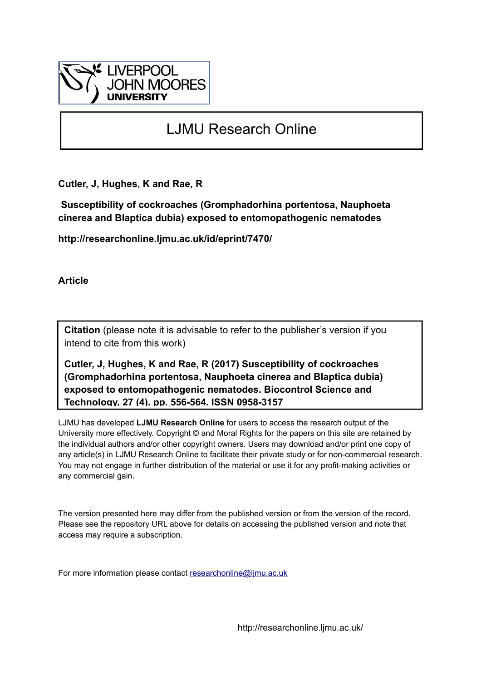

# LJMU Research Online

**Cutler, J, Hughes, K and Rae, R**

 **Susceptibility of cockroaches (Gromphadorhina portentosa, Nauphoeta cinerea and Blaptica dubia) exposed to entomopathogenic nematodes**

**http://researchonline.ljmu.ac.uk/id/eprint/7470/**

**Article**

**Citation** (please note it is advisable to refer to the publisher's version if you intend to cite from this work)

**Cutler, J, Hughes, K and Rae, R (2017) Susceptibility of cockroaches (Gromphadorhina portentosa, Nauphoeta cinerea and Blaptica dubia) exposed to entomopathogenic nematodes. Biocontrol Science and Technology, 27 (4). pp. 556-564. ISSN 0958-3157** 

LJMU has developed **[LJMU Research Online](http://researchonline.ljmu.ac.uk/)** for users to access the research output of the University more effectively. Copyright © and Moral Rights for the papers on this site are retained by the individual authors and/or other copyright owners. Users may download and/or print one copy of any article(s) in LJMU Research Online to facilitate their private study or for non-commercial research. You may not engage in further distribution of the material or use it for any profit-making activities or any commercial gain.

The version presented here may differ from the published version or from the version of the record. Please see the repository URL above for details on accessing the published version and note that access may require a subscription.

For more information please contact [researchonline@ljmu.ac.uk](mailto:researchonline@ljmu.ac.uk)

http://researchonline.ljmu.ac.uk/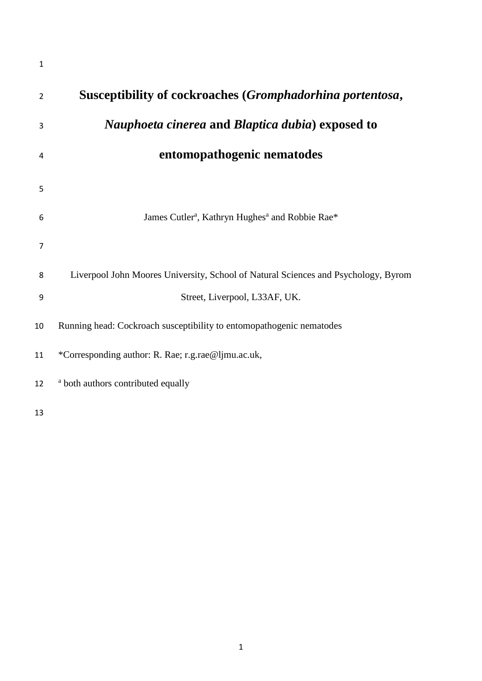| $\mathbf{1}$   |                                                                                    |
|----------------|------------------------------------------------------------------------------------|
| $\overline{2}$ | Susceptibility of cockroaches (Gromphadorhina portentosa,                          |
| 3              | <i>Nauphoeta cinerea</i> and <i>Blaptica dubia</i> ) exposed to                    |
| 4              | entomopathogenic nematodes                                                         |
| 5              |                                                                                    |
| 6              | James Cutler <sup>a</sup> , Kathryn Hughes <sup>a</sup> and Robbie Rae*            |
| 7              |                                                                                    |
| 8              | Liverpool John Moores University, School of Natural Sciences and Psychology, Byrom |
| 9              | Street, Liverpool, L33AF, UK.                                                      |
| 10             | Running head: Cockroach susceptibility to entomopathogenic nematodes               |
| 11             | *Corresponding author: R. Rae; r.g.rae@ljmu.ac.uk,                                 |
| 12             | <sup>a</sup> both authors contributed equally                                      |
| 13             |                                                                                    |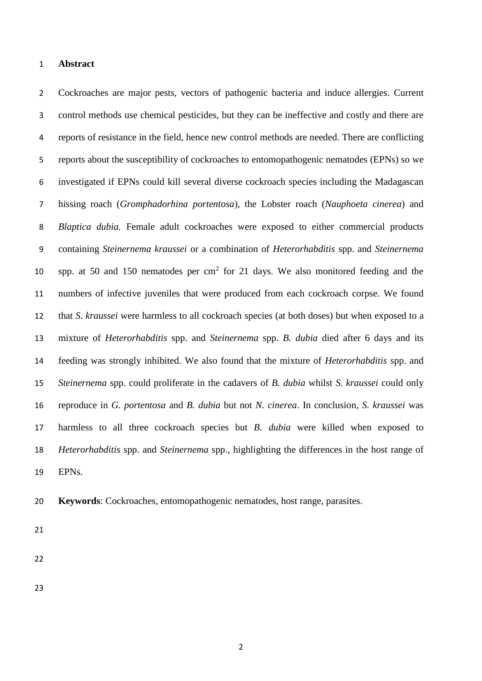#### **Abstract**

 Cockroaches are major pests, vectors of pathogenic bacteria and induce allergies. Current control methods use chemical pesticides, but they can be ineffective and costly and there are reports of resistance in the field, hence new control methods are needed. There are conflicting reports about the susceptibility of cockroaches to entomopathogenic nematodes (EPNs) so we investigated if EPNs could kill several diverse cockroach species including the Madagascan hissing roach (*Gromphadorhina portentosa*), the Lobster roach (*Nauphoeta cinerea*) and *Blaptica dubia.* Female adult cockroaches were exposed to either commercial products containing *Steinernema kraussei* or a combination of *Heterorhabditis* spp. and *Steinernema* 10 spp. at 50 and 150 nematodes per  $cm<sup>2</sup>$  for 21 days. We also monitored feeding and the numbers of infective juveniles that were produced from each cockroach corpse. We found that *S. kraussei* were harmless to all cockroach species (at both doses) but when exposed to a mixture of *Heterorhabditis* spp. and *Steinernema* spp. *B. dubia* died after 6 days and its feeding was strongly inhibited. We also found that the mixture of *Heterorhabditis* spp. and *Steinernema* spp. could proliferate in the cadavers of *B. dubia* whilst *S. kraussei* could only reproduce in *G. portentosa* and *B. dubia* but not *N. cinerea*. In conclusion, *S. kraussei* was harmless to all three cockroach species but *B. dubia* were killed when exposed to *Heterorhabditis* spp. and *Steinernema* spp., highlighting the differences in the host range of EPNs.

**Keywords**: Cockroaches, entomopathogenic nematodes, host range, parasites.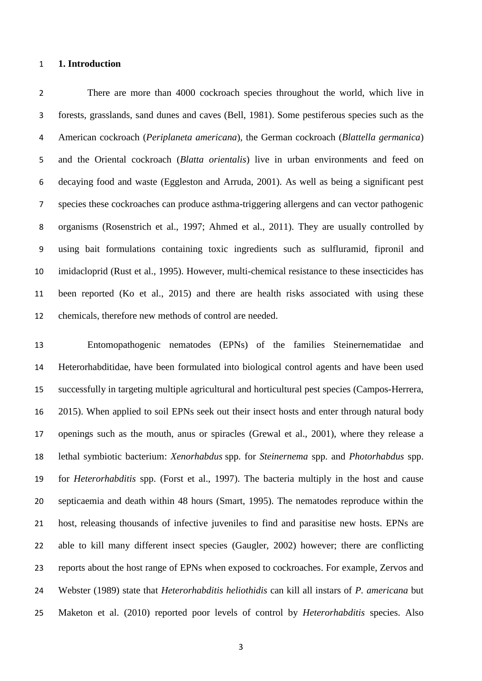## **1. Introduction**

 There are more than 4000 cockroach species throughout the world, which live in forests, grasslands, sand dunes and caves (Bell, 1981). Some pestiferous species such as the American cockroach (*Periplaneta americana*)*,* the German cockroach (*Blattella germanica*) and the Oriental cockroach (*Blatta orientalis*) live in urban environments and feed on decaying food and waste (Eggleston and Arruda, 2001). As well as being a significant pest species these cockroaches can produce asthma-triggering allergens and can vector pathogenic organisms (Rosenstrich et al., 1997; Ahmed et al., 2011). They are usually controlled by using bait formulations containing toxic ingredients such as sulfluramid, fipronil and imidacloprid (Rust et al., 1995). However, multi-chemical resistance to these insecticides has been reported (Ko et al., 2015) and there are health risks associated with using these chemicals, therefore new methods of control are needed.

 Entomopathogenic nematodes (EPNs) of the families Steinernematidae and Heterorhabditidae, have been formulated into biological control agents and have been used successfully in targeting multiple agricultural and horticultural pest species (Campos-Herrera, 2015). When applied to soil EPNs seek out their insect hosts and enter through natural body openings such as the mouth, anus or spiracles (Grewal et al., 2001), where they release a lethal symbiotic bacterium: *Xenorhabdus* spp. for *Steinernema* spp. and *Photorhabdus* spp. for *Heterorhabditis* spp. (Forst et al., 1997). The bacteria multiply in the host and cause septicaemia and death within 48 hours (Smart, 1995). The nematodes reproduce within the host, releasing thousands of infective juveniles to find and parasitise new hosts. EPNs are able to kill many different insect species (Gaugler, 2002) however; there are conflicting reports about the host range of EPNs when exposed to cockroaches. For example, Zervos and Webster (1989) state that *Heterorhabditis heliothidis* can kill all instars of *P. americana* but Maketon et al. (2010) reported poor levels of control by *Heterorhabditis* species. Also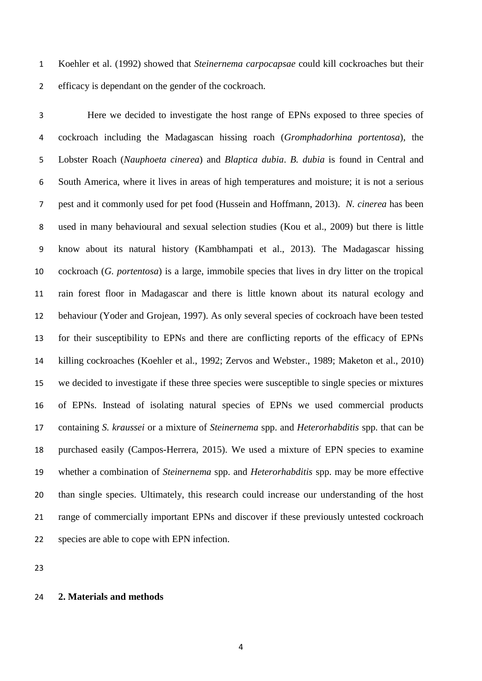Koehler et al. (1992) showed that *Steinernema carpocapsae* could kill cockroaches but their efficacy is dependant on the gender of the cockroach.

 Here we decided to investigate the host range of EPNs exposed to three species of cockroach including the Madagascan hissing roach (*Gromphadorhina portentosa*), the Lobster Roach (*Nauphoeta cinerea*) and *Blaptica dubia*. *B. dubia* is found in Central and South America, where it lives in areas of high temperatures and moisture; it is not a serious pest and it commonly used for pet food (Hussein and Hoffmann, 2013). *N. cinerea* has been used in many behavioural and sexual selection studies (Kou et al., 2009) but there is little know about its natural history (Kambhampati et al., 2013). The Madagascar hissing cockroach (*G. portentosa*) is a large, immobile species that lives in dry litter on the tropical rain forest floor in Madagascar and there is little known about its natural ecology and behaviour (Yoder and Grojean, 1997). As only several species of cockroach have been tested for their susceptibility to EPNs and there are conflicting reports of the efficacy of EPNs killing cockroaches (Koehler et al., 1992; Zervos and Webster., 1989; Maketon et al., 2010) we decided to investigate if these three species were susceptible to single species or mixtures of EPNs. Instead of isolating natural species of EPNs we used commercial products containing *S. kraussei* or a mixture of *Steinernema* spp. and *Heterorhabditis* spp. that can be purchased easily (Campos-Herrera, 2015). We used a mixture of EPN species to examine whether a combination of *Steinernema* spp. and *Heterorhabditis* spp. may be more effective than single species. Ultimately, this research could increase our understanding of the host range of commercially important EPNs and discover if these previously untested cockroach species are able to cope with EPN infection.

## **2. Materials and methods**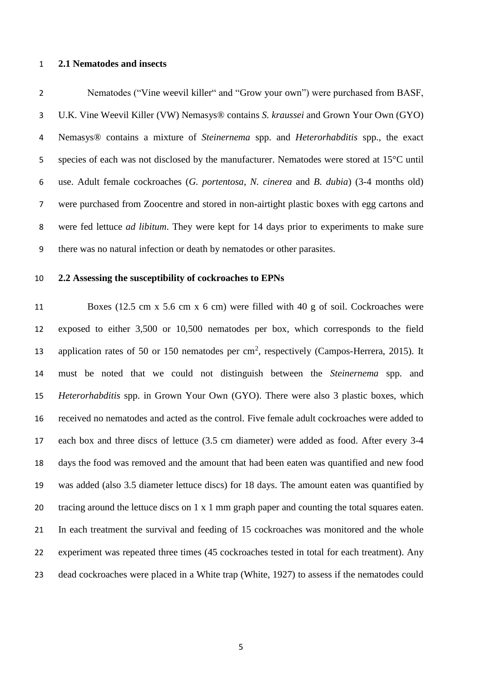#### **2.1 Nematodes and insects**

 Nematodes ("Vine weevil killer" and "Grow your own") were purchased from BASF, U.K. Vine Weevil Killer (VW) Nemasys® contains *S. kraussei* and Grown Your Own (GYO) Nemasys® contains a mixture of *Steinernema* spp. and *Heterorhabditis* spp., the exact species of each was not disclosed by the manufacturer. Nematodes were stored at 15°C until use. Adult female cockroaches (*G. portentosa*, *N. cinerea* and *B. dubia*) (3-4 months old) were purchased from Zoocentre and stored in non-airtight plastic boxes with egg cartons and were fed lettuce *ad libitum*. They were kept for 14 days prior to experiments to make sure there was no natural infection or death by nematodes or other parasites.

## **2.2 Assessing the susceptibility of cockroaches to EPNs**

 Boxes (12.5 cm x 5.6 cm x 6 cm) were filled with 40 g of soil. Cockroaches were exposed to either 3,500 or 10,500 nematodes per box, which corresponds to the field 13 application rates of 50 or 150 nematodes per  $\text{cm}^2$ , respectively (Campos-Herrera, 2015). It must be noted that we could not distinguish between the *Steinernema* spp. and *Heterorhabditis* spp. in Grown Your Own (GYO). There were also 3 plastic boxes, which received no nematodes and acted as the control. Five female adult cockroaches were added to each box and three discs of lettuce (3.5 cm diameter) were added as food. After every 3-4 days the food was removed and the amount that had been eaten was quantified and new food was added (also 3.5 diameter lettuce discs) for 18 days. The amount eaten was quantified by tracing around the lettuce discs on 1 x 1 mm graph paper and counting the total squares eaten. In each treatment the survival and feeding of 15 cockroaches was monitored and the whole experiment was repeated three times (45 cockroaches tested in total for each treatment). Any dead cockroaches were placed in a White trap (White, 1927) to assess if the nematodes could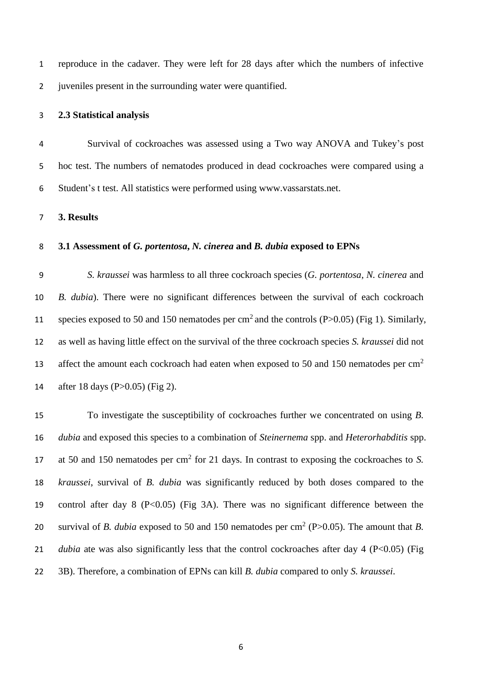reproduce in the cadaver. They were left for 28 days after which the numbers of infective 2 juven iles present in the surrounding water were quantified.

# **2.3 Statistical analysis**

 Survival of cockroaches was assessed using a Two way ANOVA and Tukey's post hoc test. The numbers of nematodes produced in dead cockroaches were compared using a Student's t test. All statistics were performed using www.vassarstats.net.

**3. Results**

# **3.1 Assessment of** *G. portentosa***,** *N. cinerea* **and** *B. dubia* **exposed to EPNs**

 *S. kraussei* was harmless to all three cockroach species (*G. portentosa*, *N. cinerea* and *B. dubia*). There were no significant differences between the survival of each cockroach 11 species exposed to 50 and 150 nematodes per  $\text{cm}^2$  and the controls (P>0.05) (Fig 1). Similarly, as well as having little effect on the survival of the three cockroach species *S. kraussei* did not affect the amount each cockroach had eaten when exposed to 50 and 150 nematodes per  $\text{cm}^2$  after 18 days (P>0.05) (Fig 2).

 To investigate the susceptibility of cockroaches further we concentrated on using *B. dubia* and exposed this species to a combination of *Steinernema* spp. and *Heterorhabditis* spp. 17 at 50 and 150 nematodes per cm<sup>2</sup> for 21 days. In contrast to exposing the cockroaches to *S*. *kraussei*, survival of *B. dubia* was significantly reduced by both doses compared to the control after day 8 (P<0.05) (Fig 3A). There was no significant difference between the 20 survival of *B. dubia* exposed to 50 and 150 nematodes per  $\text{cm}^2$  (P $>0.05$ ). The amount that *B*. *dubia* ate was also significantly less that the control cockroaches after day 4 (P<0.05) (Fig. 3B). Therefore, a combination of EPNs can kill *B. dubia* compared to only *S. kraussei*.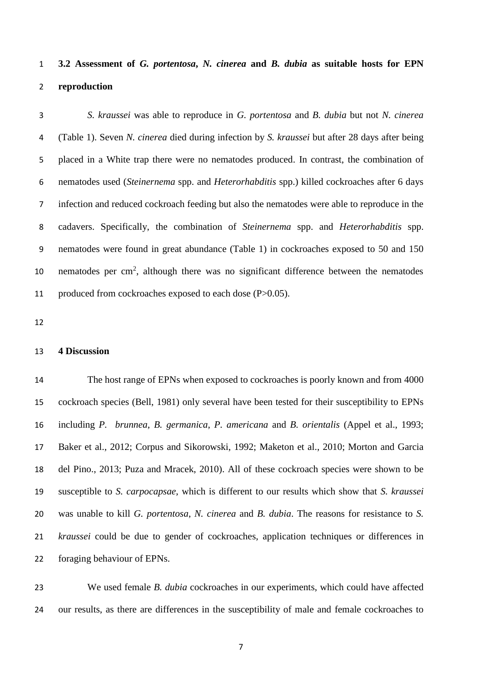# **3.2 Assessment of** *G. portentosa***,** *N. cinerea* **and** *B. dubia* **as suitable hosts for EPN reproduction**

 *S. kraussei* was able to reproduce in *G. portentosa* and *B. dubia* but not *N. cinerea* (Table 1). Seven *N. cinerea* died during infection by *S. kraussei* but after 28 days after being placed in a White trap there were no nematodes produced. In contrast, the combination of nematodes used (*Steinernema* spp. and *Heterorhabditis* spp.) killed cockroaches after 6 days infection and reduced cockroach feeding but also the nematodes were able to reproduce in the cadavers. Specifically, the combination of *Steinernema* spp. and *Heterorhabditis* spp. nematodes were found in great abundance (Table 1) in cockroaches exposed to 50 and 150 10 nematodes per cm<sup>2</sup>, although there was no significant difference between the nematodes produced from cockroaches exposed to each dose (P>0.05).

# **4 Discussion**

 The host range of EPNs when exposed to cockroaches is poorly known and from 4000 cockroach species (Bell, 1981) only several have been tested for their susceptibility to EPNs including *P. brunnea*, *B. germanica*, *P. americana* and *B. orientalis* (Appel et al., 1993; Baker et al., 2012; Corpus and Sikorowski, 1992; Maketon et al., 2010; Morton and Garcia del Pino., 2013; Puza and Mracek, 2010). All of these cockroach species were shown to be susceptible to *S. carpocapsae*, which is different to our results which show that *S. kraussei* was unable to kill *G. portentosa*, *N. cinerea* and *B. dubia*. The reasons for resistance to *S. kraussei* could be due to gender of cockroaches, application techniques or differences in foraging behaviour of EPNs.

 We used female *B. dubia* cockroaches in our experiments, which could have affected our results, as there are differences in the susceptibility of male and female cockroaches to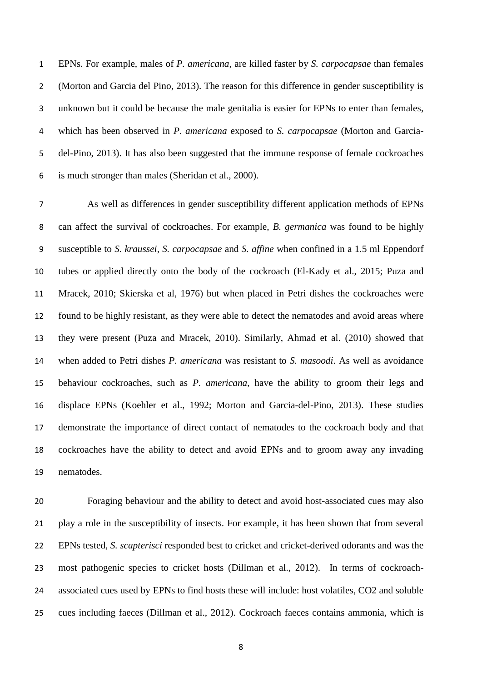EPNs. For example, males of *P. americana*, are killed faster by *S. carpocapsae* than females (Morton and Garcia del Pino, 2013). The reason for this difference in gender susceptibility is unknown but it could be because the male genitalia is easier for EPNs to enter than females, which has been observed in *P. americana* exposed to *S. carpocapsae* (Morton and Garcia- del-Pino, 2013). It has also been suggested that the immune response of female cockroaches is much stronger than males (Sheridan et al., 2000).

 As well as differences in gender susceptibility different application methods of EPNs can affect the survival of cockroaches. For example, *B. germanica* was found to be highly susceptible to *S. kraussei, S. carpocapsae* and *S. affine* when confined in a 1.5 ml Eppendorf tubes or applied directly onto the body of the cockroach (El-Kady et al., 2015; Puza and Mracek, 2010; Skierska et al, 1976) but when placed in Petri dishes the cockroaches were found to be highly resistant, as they were able to detect the nematodes and avoid areas where they were present (Puza and Mracek, 2010). Similarly, Ahmad et al. (2010) showed that when added to Petri dishes *P. americana* was resistant to *S. masoodi*. As well as avoidance behaviour cockroaches, such as *P. americana*, have the ability to groom their legs and displace EPNs (Koehler et al., 1992; Morton and Garcia-del-Pino, 2013). These studies demonstrate the importance of direct contact of nematodes to the cockroach body and that cockroaches have the ability to detect and avoid EPNs and to groom away any invading nematodes.

 Foraging behaviour and the ability to detect and avoid host-associated cues may also play a role in the susceptibility of insects. For example, it has been shown that from several EPNs tested, *S. scapterisci* responded best to cricket and cricket-derived odorants and was the most pathogenic species to cricket hosts (Dillman et al., 2012). In terms of cockroach- associated cues used by EPNs to find hosts these will include: host volatiles, CO2 and soluble cues including faeces (Dillman et al., 2012). Cockroach faeces contains ammonia, which is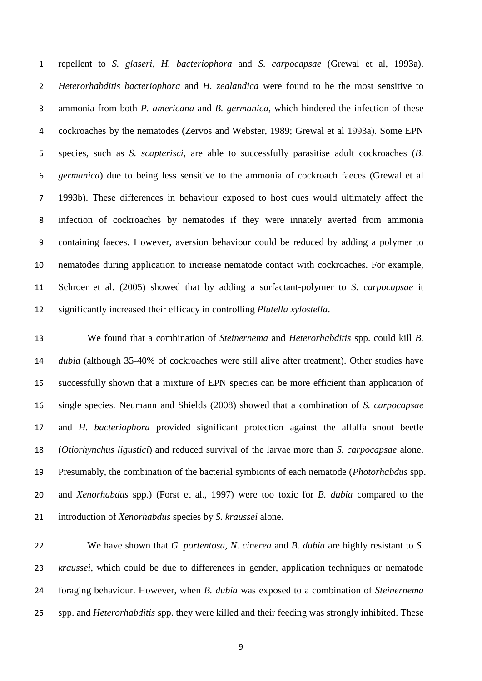repellent to *S. glaseri*, *H. bacteriophora* and *S. carpocapsae* (Grewal et al, 1993a). *Heterorhabditis bacteriophora* and *H. zealandica* were found to be the most sensitive to ammonia from both *P. americana* and *B. germanica*, which hindered the infection of these cockroaches by the nematodes (Zervos and Webster, 1989; Grewal et al 1993a). Some EPN species, such as *S. scapterisci*, are able to successfully parasitise adult cockroaches (*B. germanica*) due to being less sensitive to the ammonia of cockroach faeces (Grewal et al 1993b). These differences in behaviour exposed to host cues would ultimately affect the infection of cockroaches by nematodes if they were innately averted from ammonia containing faeces. However, aversion behaviour could be reduced by adding a polymer to nematodes during application to increase nematode contact with cockroaches. For example, Schroer et al. (2005) showed that by adding a surfactant-polymer to *S. carpocapsae* it significantly increased their efficacy in controlling *Plutella xylostella*.

 We found that a combination of *Steinernema* and *Heterorhabditis* spp. could kill *B. dubia* (although 35-40% of cockroaches were still alive after treatment). Other studies have successfully shown that a mixture of EPN species can be more efficient than application of single species. Neumann and Shields (2008) showed that a combination of *S. carpocapsae*  and *H. bacteriophora* provided significant protection against the alfalfa snout beetle (*Otiorhynchus ligustici*) and reduced survival of the larvae more than *S. carpocapsae* alone. Presumably, the combination of the bacterial symbionts of each nematode (*Photorhabdus* spp. and *Xenorhabdus* spp.) (Forst et al., 1997) were too toxic for *B. dubia* compared to the introduction of *Xenorhabdus* species by *S. kraussei* alone.

 We have shown that *G. portentosa*, *N. cinerea* and *B. dubia* are highly resistant to *S. kraussei*, which could be due to differences in gender, application techniques or nematode foraging behaviour. However, when *B. dubia* was exposed to a combination of *Steinernema*  spp. and *Heterorhabditis* spp. they were killed and their feeding was strongly inhibited. These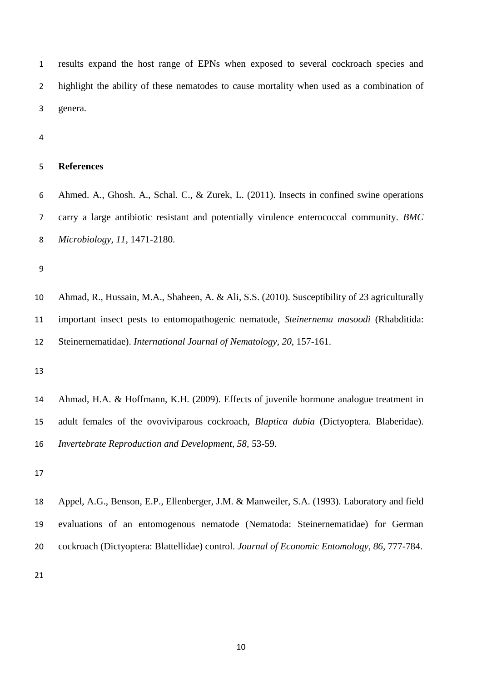results expand the host range of EPNs when exposed to several cockroach species and highlight the ability of these nematodes to cause mortality when used as a combination of genera.

# **References**

 Ahmed. A., Ghosh. A., Schal. C., & Zurek, L. (2011). Insects in confined swine operations carry a large antibiotic resistant and potentially virulence enterococcal community. *BMC Microbiology, 11*, 1471-2180.

 Ahmad, R., Hussain, M.A., Shaheen, A. & Ali, S.S. (2010). Susceptibility of 23 agriculturally important insect pests to entomopathogenic nematode, *Steinernema masoodi* (Rhabditida: Steinernematidae). *International Journal of Nematology, 20*, 157-161.

 Appel, A.G., Benson, E.P., Ellenberger, J.M. & Manweiler, S.A. (1993). Laboratory and field evaluations of an entomogenous nematode (Nematoda: Steinernematidae) for German cockroach (Dictyoptera: Blattellidae) control. *Journal of Economic Entomology, 86*, 777-784.

 Ahmad, H.A. & Hoffmann, K.H. (2009). Effects of juvenile hormone analogue treatment in adult females of the ovoviviparous cockroach, *Blaptica dubia* (Dictyoptera. Blaberidae). *Invertebrate Reproduction and Development, 58,* 53-59.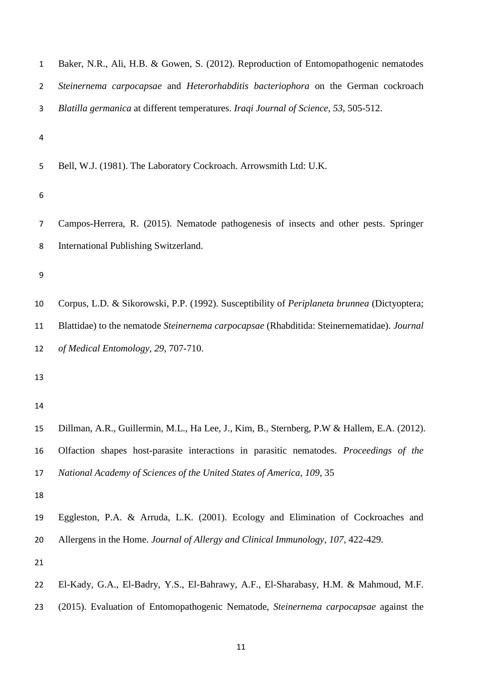| $\mathbf 1$    | Baker, N.R., Ali, H.B. & Gowen, S. (2012). Reproduction of Entomopathogenic nematodes       |
|----------------|---------------------------------------------------------------------------------------------|
| $\overline{2}$ | Steinernema carpocapsae and Heterorhabditis bacteriophora on the German cockroach           |
| 3              | Blatilla germanica at different temperatures. Iraqi Journal of Science, 53, 505-512.        |
| 4              |                                                                                             |
| 5              | Bell, W.J. (1981). The Laboratory Cockroach. Arrowsmith Ltd: U.K.                           |
| 6              |                                                                                             |
| $\overline{7}$ | Campos-Herrera, R. (2015). Nematode pathogenesis of insects and other pests. Springer       |
| 8              | International Publishing Switzerland.                                                       |
| 9              |                                                                                             |
| 10             | Corpus, L.D. & Sikorowski, P.P. (1992). Susceptibility of Periplaneta brunnea (Dictyoptera; |
| 11             | Blattidae) to the nematode Steinernema carpocapsae (Rhabditida: Steinernematidae). Journal  |
| 12             | of Medical Entomology, 29, 707-710.                                                         |
| 13             |                                                                                             |
| 14             |                                                                                             |
| 15             | Dillman, A.R., Guillermin, M.L., Ha Lee, J., Kim, B., Sternberg, P.W & Hallem, E.A. (2012). |
| 16             | Olfaction shapes host-parasite interactions in parasitic nematodes. Proceedings of the      |
| 17             | National Academy of Sciences of the United States of America, 109, 35                       |
| 18             |                                                                                             |
| 19             | Eggleston, P.A. & Arruda, L.K. (2001). Ecology and Elimination of Cockroaches and           |
| 20             | Allergens in the Home. Journal of Allergy and Clinical Immunology, 107, 422-429.            |
| 21             |                                                                                             |
| 22             | El-Kady, G.A., El-Badry, Y.S., El-Bahrawy, A.F., El-Sharabasy, H.M. & Mahmoud, M.F.         |
| 23             | (2015). Evaluation of Entomopathogenic Nematode, Steinernema carpocapsae against the        |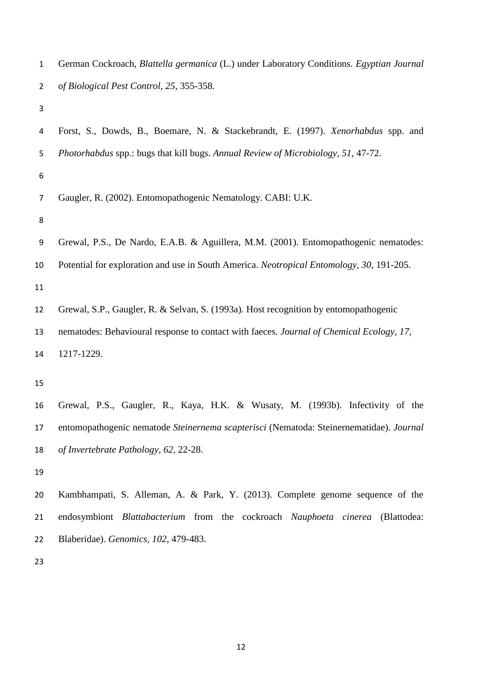| $\mathbf{1}$   | German Cockroach, Blattella germanica (L.) under Laboratory Conditions. Egyptian Journal |
|----------------|------------------------------------------------------------------------------------------|
| $\overline{2}$ | of Biological Pest Control, 25, 355-358.                                                 |
| 3              |                                                                                          |
| 4              | Forst, S., Dowds, B., Boemare, N. & Stackebrandt, E. (1997). Xenorhabdus spp. and        |
| 5              | Photorhabdus spp.: bugs that kill bugs. Annual Review of Microbiology, 51, 47-72.        |
| 6              |                                                                                          |
| 7              | Gaugler, R. (2002). Entomopathogenic Nematology. CABI: U.K.                              |
| 8              |                                                                                          |
| 9              | Grewal, P.S., De Nardo, E.A.B. & Aguillera, M.M. (2001). Entomopathogenic nematodes:     |
| 10             | Potential for exploration and use in South America. Neotropical Entomology, 30, 191-205. |
| 11             |                                                                                          |
| 12             | Grewal, S.P., Gaugler, R. & Selvan, S. (1993a). Host recognition by entomopathogenic     |
| 13             | nematodes: Behavioural response to contact with faeces. Journal of Chemical Ecology, 17, |
| 14             | 1217-1229.                                                                               |
| 15             |                                                                                          |
| 16             | Grewal, P.S., Gaugler, R., Kaya, H.K. & Wusaty, M. (1993b). Infectivity of the           |
| 17             | entomopathogenic nematode Steinernema scapterisci (Nematoda: Steinernematidae). Journal  |
| 18             | of Invertebrate Pathology, 62, 22-28.                                                    |
| 19             |                                                                                          |
| 20             | Kambhampati, S. Alleman, A. & Park, Y. (2013). Complete genome sequence of the           |
| 21             | endosymbiont Blattabacterium from the cockroach Nauphoeta cinerea<br>(Blattodea:         |
| 22             | Blaberidae). Genomics, 102, 479-483.                                                     |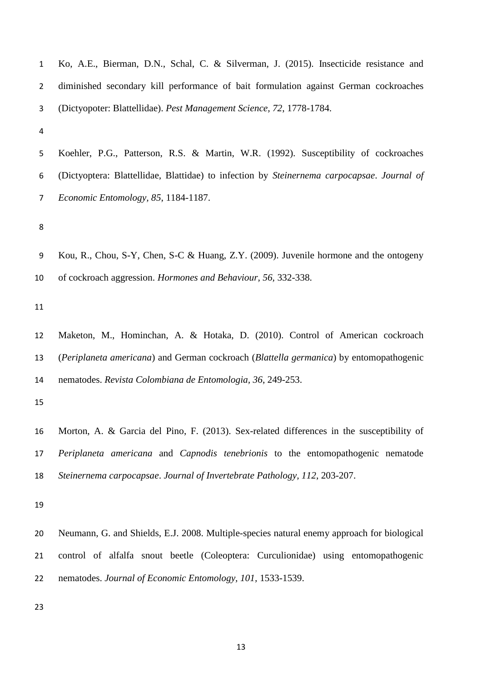| $\mathbf{1}$   | Ko, A.E., Bierman, D.N., Schal, C. & Silverman, J. (2015). Insecticide resistance and      |
|----------------|--------------------------------------------------------------------------------------------|
| $\overline{2}$ | diminished secondary kill performance of bait formulation against German cockroaches       |
| 3              | (Dictyopoter: Blattellidae). Pest Management Science, 72, 1778-1784.                       |
| 4              |                                                                                            |
| 5              | Koehler, P.G., Patterson, R.S. & Martin, W.R. (1992). Susceptibility of cockroaches        |
| 6              | (Dictyoptera: Blattellidae, Blattidae) to infection by Steinernema carpocapsae. Journal of |
| 7              | Economic Entomology, 85, 1184-1187.                                                        |
| 8              |                                                                                            |
|                |                                                                                            |
| 9              | Kou, R., Chou, S-Y, Chen, S-C & Huang, Z.Y. (2009). Juvenile hormone and the ontogeny      |
| 10             | of cockroach aggression. Hormones and Behaviour, 56, 332-338.                              |
| 11             |                                                                                            |
| 12             | Maketon, M., Hominchan, A. & Hotaka, D. (2010). Control of American cockroach              |
| 13             | (Periplaneta americana) and German cockroach (Blattella germanica) by entomopathogenic     |
| 14             | nematodes. Revista Colombiana de Entomologia, 36, 249-253.                                 |
| 15             |                                                                                            |
| 16             | Morton, A. & Garcia del Pino, F. (2013). Sex-related differences in the susceptibility of  |
| 17             | Periplaneta americana and Capnodis tenebrionis to the entomopathogenic nematode            |
| 18             | Steinernema carpocapsae. Journal of Invertebrate Pathology, 112, 203-207.                  |
| 19             |                                                                                            |
|                |                                                                                            |
| 20             | Neumann, G. and Shields, E.J. 2008. Multiple-species natural enemy approach for biological |
| 21             | control of alfalfa snout beetle (Coleoptera: Curculionidae) using entomopathogenic         |
| 22             | nematodes. Journal of Economic Entomology, 101, 1533-1539.                                 |
| 23             |                                                                                            |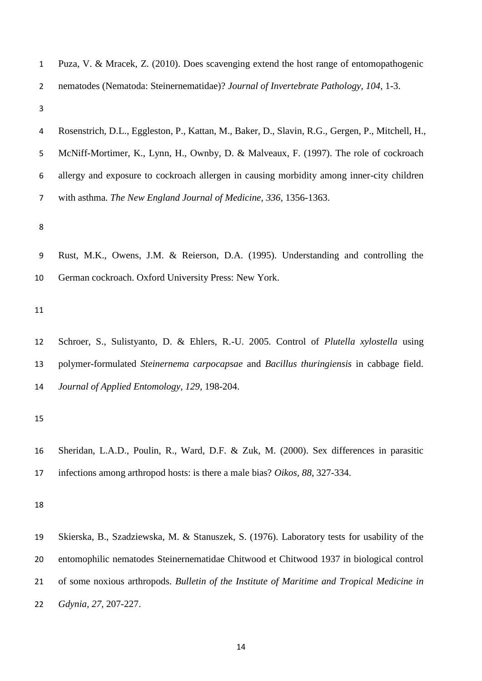| $\mathbf{1}$   | Puza, V. & Mracek, Z. (2010). Does scavenging extend the host range of entomopathogenic          |
|----------------|--------------------------------------------------------------------------------------------------|
| $\overline{2}$ | nematodes (Nematoda: Steinernematidae)? Journal of Invertebrate Pathology, 104, 1-3.             |
| 3              |                                                                                                  |
| 4              | Rosenstrich, D.L., Eggleston, P., Kattan, M., Baker, D., Slavin, R.G., Gergen, P., Mitchell, H., |
| 5              | McNiff-Mortimer, K., Lynn, H., Ownby, D. & Malveaux, F. (1997). The role of cockroach            |
| 6              | allergy and exposure to cockroach allergen in causing morbidity among inner-city children        |
| 7              | with asthma. The New England Journal of Medicine, 336, 1356-1363.                                |
| 8              |                                                                                                  |
| 9              | Rust, M.K., Owens, J.M. & Reierson, D.A. (1995). Understanding and controlling the               |
|                |                                                                                                  |
| 10             | German cockroach. Oxford University Press: New York.                                             |
| 11             |                                                                                                  |
| 12             | Schroer, S., Sulistyanto, D. & Ehlers, R.-U. 2005. Control of Plutella xylostella using          |
| 13             | polymer-formulated Steinernema carpocapsae and Bacillus thuringiensis in cabbage field.          |
| 14             | Journal of Applied Entomology, 129, 198-204.                                                     |
|                |                                                                                                  |
| 15             |                                                                                                  |
| 16             | Sheridan, L.A.D., Poulin, R., Ward, D.F. & Zuk, M. (2000). Sex differences in parasitic          |
| 17             | infections among arthropod hosts: is there a male bias? Oikos, 88, 327-334.                      |
|                |                                                                                                  |
| 18             |                                                                                                  |
| 19             | Skierska, B., Szadziewska, M. & Stanuszek, S. (1976). Laboratory tests for usability of the      |
| 20             | entomophilic nematodes Steinernematidae Chitwood et Chitwood 1937 in biological control          |
| 21             | of some noxious arthropods. Bulletin of the Institute of Maritime and Tropical Medicine in       |

*Gdynia, 27,* 207-227.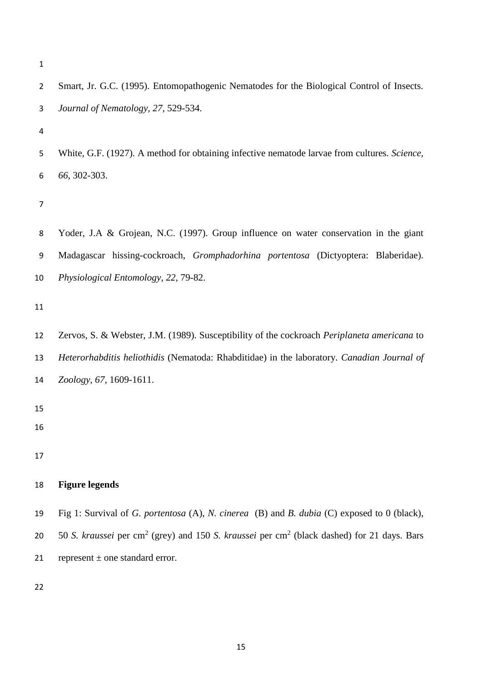| 3              | Journal of Nematology, 27, 529-534.                                                                                |
|----------------|--------------------------------------------------------------------------------------------------------------------|
| 4              |                                                                                                                    |
| 5              | White, G.F. (1927). A method for obtaining infective nematode larvae from cultures. Science,                       |
| 6              | 66, 302-303.                                                                                                       |
| $\overline{7}$ |                                                                                                                    |
| 8              | Yoder, J.A & Grojean, N.C. (1997). Group influence on water conservation in the giant                              |
| 9              | Madagascar hissing-cockroach, Gromphadorhina portentosa (Dictyoptera: Blaberidae).                                 |
| 10             | Physiological Entomology, 22, 79-82.                                                                               |
| 11             |                                                                                                                    |
| 12             | Zervos, S. & Webster, J.M. (1989). Susceptibility of the cockroach Periplaneta americana to                        |
| 13             | Heterorhabditis heliothidis (Nematoda: Rhabditidae) in the laboratory. Canadian Journal of                         |
| 14             | Zoology, 67, 1609-1611.                                                                                            |
| 15             |                                                                                                                    |
| 16             |                                                                                                                    |
| 17             |                                                                                                                    |
| 18             | <b>Figure legends</b>                                                                                              |
| 19             | Fig 1: Survival of G. portentosa (A), N. cinerea (B) and B. dubia (C) exposed to 0 (black),                        |
| 20             | 50 S. kraussei per cm <sup>2</sup> (grey) and 150 S. kraussei per cm <sup>2</sup> (black dashed) for 21 days. Bars |
| 21             | represent $\pm$ one standard error.                                                                                |
| 22             |                                                                                                                    |
|                |                                                                                                                    |

Smart, Jr. G.C. (1995). Entomopathogenic Nematodes for the Biological Control of Insects.